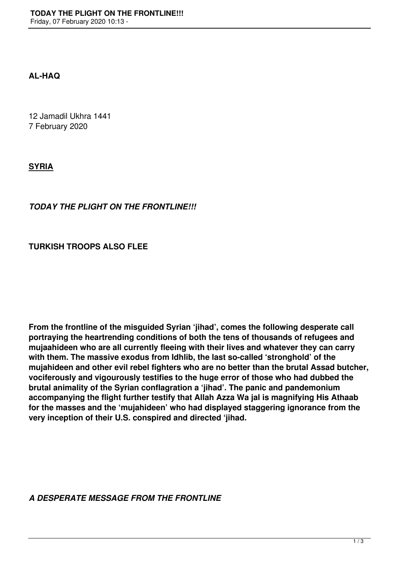## **AL-HAQ**

12 Jamadil Ukhra 1441 7 February 2020

**SYRIA**

## *TODAY THE PLIGHT ON THE FRONTLINE!!!*

## **TURKISH TROOPS ALSO FLEE**

**From the frontline of the misguided Syrian 'jihad', comes the following desperate call portraying the heartrending conditions of both the tens of thousands of refugees and mujaahideen who are all currently fleeing with their lives and whatever they can carry with them. The massive exodus from Idhlib, the last so-called 'stronghold' of the mujahideen and other evil rebel fighters who are no better than the brutal Assad butcher, vociferously and vigourously testifies to the huge error of those who had dubbed the brutal animality of the Syrian conflagration a 'jihad'. The panic and pandemonium accompanying the flight further testify that Allah Azza Wa jal is magnifying His Athaab for the masses and the 'mujahideen' who had displayed staggering ignorance from the very inception of their U.S. conspired and directed 'jihad.**

*A DESPERATE MESSAGE FROM THE FRONTLINE*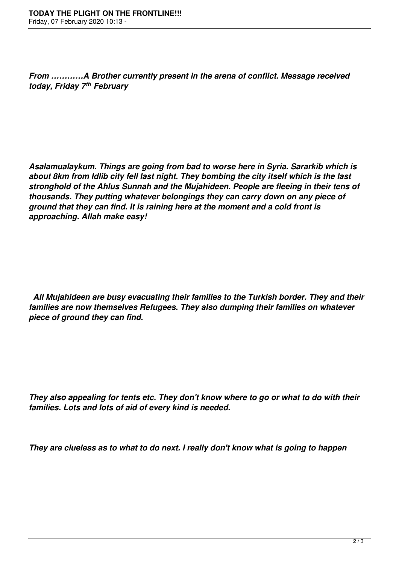*From …………A Brother currently present in the arena of conflict. Message received today, Friday 7th February*

*Asalamualaykum. Things are going from bad to worse here in Syria. Sararkib which is about 8km from Idlib city fell last night. They bombing the city itself which is the last stronghold of the Ahlus Sunnah and the Mujahideen. People are fleeing in their tens of thousands. They putting whatever belongings they can carry down on any piece of ground that they can find. It is raining here at the moment and a cold front is approaching. Allah make easy!*

 *All Mujahideen are busy evacuating their families to the Turkish border. They and their families are now themselves Refugees. They also dumping their families on whatever piece of ground they can find.*

*They also appealing for tents etc. They don't know where to go or what to do with their families. Lots and lots of aid of every kind is needed.*

*They are clueless as to what to do next. I really don't know what is going to happen*